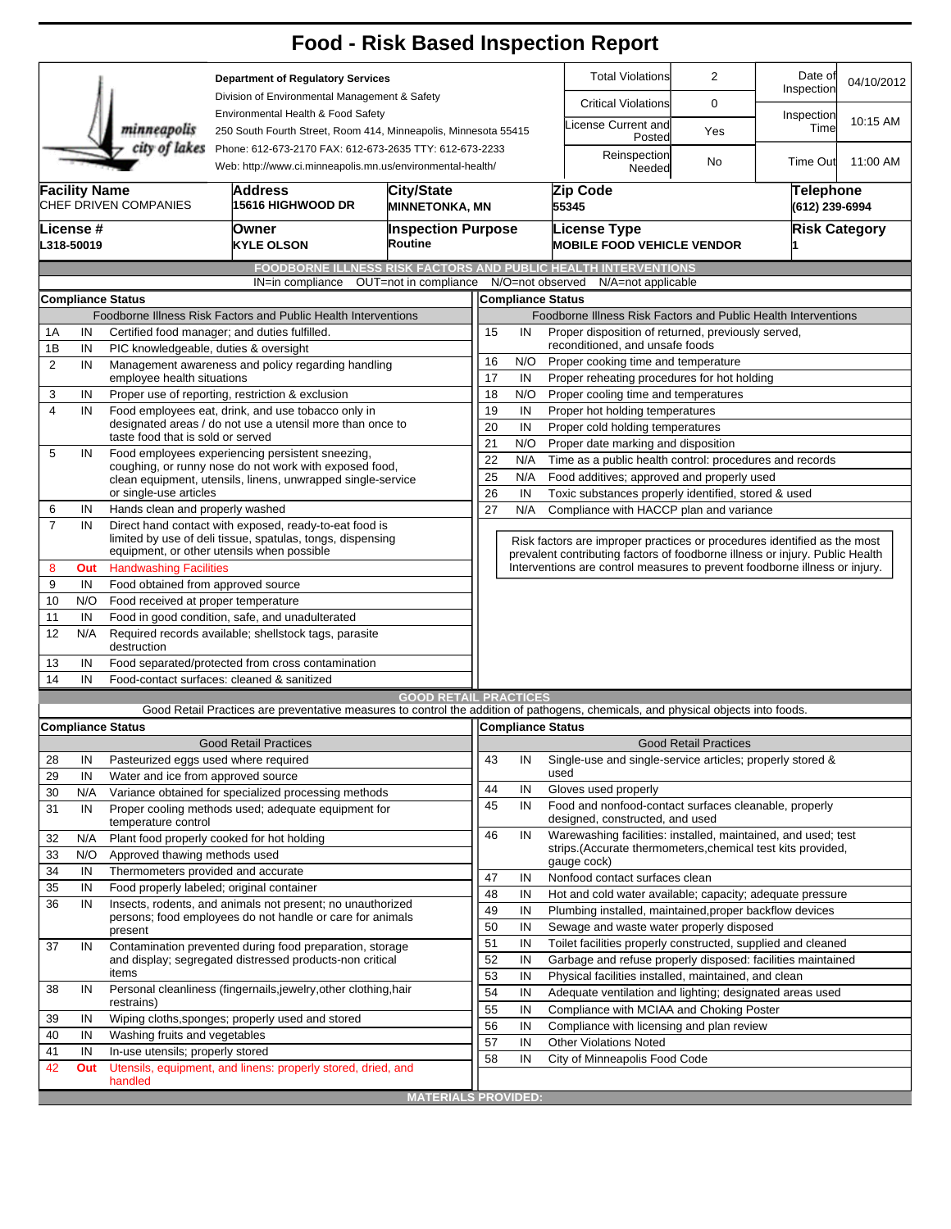|                                                                                            |                                                                                                                                        |                                                                                   |                                                                                                                                   | <b>Food - Risk Based Inspection Report</b>                           |                                                                          |                                                                              |                                                                                                |                                                                                             |                              |                             |            |  |  |
|--------------------------------------------------------------------------------------------|----------------------------------------------------------------------------------------------------------------------------------------|-----------------------------------------------------------------------------------|-----------------------------------------------------------------------------------------------------------------------------------|----------------------------------------------------------------------|--------------------------------------------------------------------------|------------------------------------------------------------------------------|------------------------------------------------------------------------------------------------|---------------------------------------------------------------------------------------------|------------------------------|-----------------------------|------------|--|--|
| <b>Department of Regulatory Services</b>                                                   |                                                                                                                                        |                                                                                   |                                                                                                                                   |                                                                      |                                                                          |                                                                              |                                                                                                | <b>Total Violations</b>                                                                     | $\overline{2}$               | Date of<br>Inspection       | 04/10/2012 |  |  |
|                                                                                            |                                                                                                                                        |                                                                                   | Division of Environmental Management & Safety                                                                                     |                                                                      |                                                                          |                                                                              |                                                                                                | <b>Critical Violations</b>                                                                  | 0                            |                             |            |  |  |
|                                                                                            |                                                                                                                                        | minneapolis                                                                       | Environmental Health & Food Safety<br>250 South Fourth Street, Room 414, Minneapolis, Minnesota 55415                             |                                                                      |                                                                          |                                                                              | icense Current and<br>Posted                                                                   | Yes                                                                                         | Inspection<br>Time           | 10:15 AM                    |            |  |  |
|                                                                                            | city of lakes<br>Phone: 612-673-2170 FAX: 612-673-2635 TTY: 612-673-2233<br>Web: http://www.ci.minneapolis.mn.us/environmental-health/ |                                                                                   |                                                                                                                                   |                                                                      |                                                                          |                                                                              |                                                                                                | Reinspection<br>Needed                                                                      | No                           | <b>Time Out</b>             | 11:00 AM   |  |  |
|                                                                                            | <b>Facility Name</b><br><b>Address</b><br>City/State<br>CHEF DRIVEN COMPANIES<br>15616 HIGHWOOD DR<br><b>MINNETONKA, MN</b>            |                                                                                   |                                                                                                                                   |                                                                      |                                                                          |                                                                              |                                                                                                | Zip Code<br>55345                                                                           |                              | Telephone<br>(612) 239-6994 |            |  |  |
| License #<br>L318-50019                                                                    |                                                                                                                                        |                                                                                   | Owner<br><b>KYLE OLSON</b>                                                                                                        | <b>Inspection Purpose</b><br>Routine                                 |                                                                          |                                                                              |                                                                                                | <b>License Type</b><br><b>MOBILE FOOD VEHICLE VENDOR</b>                                    |                              | <b>Risk Category</b>        |            |  |  |
|                                                                                            |                                                                                                                                        |                                                                                   |                                                                                                                                   |                                                                      |                                                                          |                                                                              |                                                                                                |                                                                                             |                              |                             |            |  |  |
|                                                                                            |                                                                                                                                        |                                                                                   | IN=in compliance                                                                                                                  | OUT=not in compliance                                                |                                                                          | N/O=not observed                                                             |                                                                                                | <b>FOODBORNE ILLNESS RISK FACTORS AND PUBLIC HEALTH INTERVENTIONS</b><br>N/A=not applicable |                              |                             |            |  |  |
|                                                                                            |                                                                                                                                        |                                                                                   |                                                                                                                                   |                                                                      |                                                                          | <b>Compliance Status</b>                                                     |                                                                                                |                                                                                             |                              |                             |            |  |  |
| <b>Compliance Status</b><br>Foodborne Illness Risk Factors and Public Health Interventions |                                                                                                                                        |                                                                                   |                                                                                                                                   |                                                                      |                                                                          |                                                                              |                                                                                                | Foodborne Illness Risk Factors and Public Health Interventions                              |                              |                             |            |  |  |
| 1Α                                                                                         | Certified food manager; and duties fulfilled.<br>IN                                                                                    |                                                                                   |                                                                                                                                   |                                                                      |                                                                          |                                                                              |                                                                                                | Proper disposition of returned, previously served,                                          |                              |                             |            |  |  |
| 1B                                                                                         | IN<br>PIC knowledgeable, duties & oversight                                                                                            |                                                                                   |                                                                                                                                   |                                                                      | 15<br>IN<br>reconditioned, and unsafe foods                              |                                                                              |                                                                                                |                                                                                             |                              |                             |            |  |  |
| $\overline{2}$                                                                             | Management awareness and policy regarding handling<br>IN                                                                               |                                                                                   |                                                                                                                                   |                                                                      | 16                                                                       | N/O<br>Proper cooking time and temperature                                   |                                                                                                |                                                                                             |                              |                             |            |  |  |
|                                                                                            | employee health situations                                                                                                             |                                                                                   |                                                                                                                                   |                                                                      | 17                                                                       | Proper reheating procedures for hot holding<br>IN                            |                                                                                                |                                                                                             |                              |                             |            |  |  |
| 3                                                                                          | IN                                                                                                                                     |                                                                                   | Proper use of reporting, restriction & exclusion                                                                                  | 18                                                                   | N/O<br>Proper cooling time and temperatures                              |                                                                              |                                                                                                |                                                                                             |                              |                             |            |  |  |
| $\overline{4}$                                                                             | Food employees eat, drink, and use tobacco only in<br>IN                                                                               |                                                                                   |                                                                                                                                   |                                                                      | 19<br>IN<br>Proper hot holding temperatures                              |                                                                              |                                                                                                |                                                                                             |                              |                             |            |  |  |
|                                                                                            |                                                                                                                                        | taste food that is sold or served                                                 |                                                                                                                                   | designated areas / do not use a utensil more than once to            |                                                                          |                                                                              | 20<br>IN<br>Proper cold holding temperatures                                                   |                                                                                             |                              |                             |            |  |  |
| 5                                                                                          | IN                                                                                                                                     | Food employees experiencing persistent sneezing,                                  | 21<br>N/O<br>Proper date marking and disposition                                                                                  |                                                                      |                                                                          |                                                                              |                                                                                                |                                                                                             |                              |                             |            |  |  |
|                                                                                            |                                                                                                                                        | coughing, or runny nose do not work with exposed food,                            |                                                                                                                                   | 22<br>N/A<br>Time as a public health control: procedures and records |                                                                          |                                                                              |                                                                                                |                                                                                             |                              |                             |            |  |  |
|                                                                                            |                                                                                                                                        |                                                                                   | clean equipment, utensils, linens, unwrapped single-service                                                                       |                                                                      | 25<br>26                                                                 | N/A                                                                          |                                                                                                | Food additives; approved and properly used                                                  |                              |                             |            |  |  |
|                                                                                            |                                                                                                                                        | or single-use articles<br>Hands clean and properly washed                         |                                                                                                                                   |                                                                      |                                                                          | IN                                                                           | Toxic substances properly identified, stored & used<br>Compliance with HACCP plan and variance |                                                                                             |                              |                             |            |  |  |
| 6<br>$\overline{7}$                                                                        | IN<br>IN                                                                                                                               |                                                                                   | Direct hand contact with exposed, ready-to-eat food is                                                                            | 27                                                                   | N/A                                                                      |                                                                              |                                                                                                |                                                                                             |                              |                             |            |  |  |
|                                                                                            |                                                                                                                                        |                                                                                   | limited by use of deli tissue, spatulas, tongs, dispensing                                                                        |                                                                      | Risk factors are improper practices or procedures identified as the most |                                                                              |                                                                                                |                                                                                             |                              |                             |            |  |  |
|                                                                                            | equipment, or other utensils when possible                                                                                             |                                                                                   |                                                                                                                                   |                                                                      |                                                                          | prevalent contributing factors of foodborne illness or injury. Public Health |                                                                                                |                                                                                             |                              |                             |            |  |  |
| 8                                                                                          | Out                                                                                                                                    | <b>Handwashing Facilities</b>                                                     |                                                                                                                                   |                                                                      |                                                                          |                                                                              | Interventions are control measures to prevent foodborne illness or injury.                     |                                                                                             |                              |                             |            |  |  |
| 9                                                                                          | IN                                                                                                                                     | Food obtained from approved source                                                |                                                                                                                                   |                                                                      |                                                                          |                                                                              |                                                                                                |                                                                                             |                              |                             |            |  |  |
| 10                                                                                         | N/O                                                                                                                                    | Food received at proper temperature                                               |                                                                                                                                   |                                                                      |                                                                          |                                                                              |                                                                                                |                                                                                             |                              |                             |            |  |  |
| 11                                                                                         | IN                                                                                                                                     | Food in good condition, safe, and unadulterated                                   |                                                                                                                                   |                                                                      |                                                                          |                                                                              |                                                                                                |                                                                                             |                              |                             |            |  |  |
| 12                                                                                         | N/A                                                                                                                                    | destruction                                                                       | Required records available; shellstock tags, parasite                                                                             |                                                                      |                                                                          |                                                                              |                                                                                                |                                                                                             |                              |                             |            |  |  |
| 13                                                                                         | IN<br>Food separated/protected from cross contamination                                                                                |                                                                                   |                                                                                                                                   |                                                                      |                                                                          |                                                                              |                                                                                                |                                                                                             |                              |                             |            |  |  |
| 14                                                                                         | IN                                                                                                                                     |                                                                                   | Food-contact surfaces: cleaned & sanitized                                                                                        |                                                                      |                                                                          |                                                                              |                                                                                                |                                                                                             |                              |                             |            |  |  |
|                                                                                            |                                                                                                                                        |                                                                                   | Good Retail Practices are preventative measures to control the addition of pathogens, chemicals, and physical objects into foods. | <b>GOOD RETAIL PRACTICES</b>                                         |                                                                          |                                                                              |                                                                                                |                                                                                             |                              |                             |            |  |  |
|                                                                                            |                                                                                                                                        | <b>Compliance Status</b>                                                          |                                                                                                                                   |                                                                      |                                                                          | Compliance Status                                                            |                                                                                                |                                                                                             |                              |                             |            |  |  |
|                                                                                            |                                                                                                                                        |                                                                                   | <b>Good Retail Practices</b>                                                                                                      |                                                                      |                                                                          |                                                                              |                                                                                                |                                                                                             | <b>Good Retail Practices</b> |                             |            |  |  |
| 28                                                                                         | IN                                                                                                                                     |                                                                                   | Pasteurized eggs used where required                                                                                              |                                                                      | 43                                                                       | IN                                                                           |                                                                                                | Single-use and single-service articles; properly stored &                                   |                              |                             |            |  |  |
| 29                                                                                         | IN                                                                                                                                     | Water and ice from approved source                                                |                                                                                                                                   |                                                                      |                                                                          |                                                                              | used                                                                                           |                                                                                             |                              |                             |            |  |  |
| 30                                                                                         | N/A                                                                                                                                    | Variance obtained for specialized processing methods                              |                                                                                                                                   |                                                                      | 44                                                                       | IN                                                                           |                                                                                                | Gloves used properly                                                                        |                              |                             |            |  |  |
| 31                                                                                         | IN                                                                                                                                     | Proper cooling methods used; adequate equipment for<br>temperature control        |                                                                                                                                   |                                                                      |                                                                          | IN                                                                           |                                                                                                | Food and nonfood-contact surfaces cleanable, properly<br>designed, constructed, and used    |                              |                             |            |  |  |
| 32                                                                                         | N/A                                                                                                                                    |                                                                                   | Plant food properly cooked for hot holding                                                                                        |                                                                      | 46                                                                       | IN                                                                           |                                                                                                | Warewashing facilities: installed, maintained, and used; test                               |                              |                             |            |  |  |
| 33                                                                                         | N/O                                                                                                                                    | Approved thawing methods used                                                     |                                                                                                                                   |                                                                      |                                                                          |                                                                              |                                                                                                | strips. (Accurate thermometers, chemical test kits provided,<br>gauge cock)                 |                              |                             |            |  |  |
| 34                                                                                         | IN                                                                                                                                     | Thermometers provided and accurate                                                |                                                                                                                                   |                                                                      | 47                                                                       | IN                                                                           |                                                                                                | Nonfood contact surfaces clean                                                              |                              |                             |            |  |  |
| 35                                                                                         | IN                                                                                                                                     | Food properly labeled; original container                                         |                                                                                                                                   |                                                                      |                                                                          | IN                                                                           | Hot and cold water available; capacity; adequate pressure                                      |                                                                                             |                              |                             |            |  |  |
| 36                                                                                         | IN                                                                                                                                     |                                                                                   | Insects, rodents, and animals not present; no unauthorized                                                                        |                                                                      | 48<br>49                                                                 | IN                                                                           |                                                                                                | Plumbing installed, maintained, proper backflow devices                                     |                              |                             |            |  |  |
|                                                                                            |                                                                                                                                        | present                                                                           | persons; food employees do not handle or care for animals                                                                         |                                                                      |                                                                          |                                                                              |                                                                                                | Sewage and waste water properly disposed                                                    |                              |                             |            |  |  |
| 37                                                                                         | IN                                                                                                                                     |                                                                                   | Contamination prevented during food preparation, storage                                                                          |                                                                      | 50<br>51                                                                 | IN<br>IN                                                                     |                                                                                                | Toilet facilities properly constructed, supplied and cleaned                                |                              |                             |            |  |  |
|                                                                                            |                                                                                                                                        |                                                                                   | and display; segregated distressed products-non critical                                                                          |                                                                      | 52                                                                       | IN                                                                           |                                                                                                | Garbage and refuse properly disposed: facilities maintained                                 |                              |                             |            |  |  |
|                                                                                            |                                                                                                                                        | items                                                                             |                                                                                                                                   |                                                                      | 53                                                                       | IN                                                                           |                                                                                                | Physical facilities installed, maintained, and clean                                        |                              |                             |            |  |  |
| 38                                                                                         | IN                                                                                                                                     |                                                                                   | Personal cleanliness (fingernails, jewelry, other clothing, hair                                                                  |                                                                      | 54                                                                       | IN                                                                           |                                                                                                | Adequate ventilation and lighting; designated areas used                                    |                              |                             |            |  |  |
|                                                                                            |                                                                                                                                        | restrains)                                                                        |                                                                                                                                   |                                                                      | 55                                                                       | IN                                                                           |                                                                                                | Compliance with MCIAA and Choking Poster                                                    |                              |                             |            |  |  |
| 39<br>40                                                                                   | IN<br>IN                                                                                                                               | Wiping cloths, sponges; properly used and stored<br>Washing fruits and vegetables |                                                                                                                                   |                                                                      |                                                                          | IN                                                                           |                                                                                                | Compliance with licensing and plan review                                                   |                              |                             |            |  |  |
| 41                                                                                         | IN                                                                                                                                     |                                                                                   | 57                                                                                                                                | IN                                                                   |                                                                          | <b>Other Violations Noted</b>                                                |                                                                                                |                                                                                             |                              |                             |            |  |  |
| 42                                                                                         | Out                                                                                                                                    | In-use utensils; properly stored                                                  | Utensils, equipment, and linens: properly stored, dried, and                                                                      |                                                                      | 58                                                                       | IN                                                                           |                                                                                                | City of Minneapolis Food Code                                                               |                              |                             |            |  |  |
|                                                                                            |                                                                                                                                        | handled                                                                           |                                                                                                                                   |                                                                      |                                                                          |                                                                              |                                                                                                |                                                                                             |                              |                             |            |  |  |
|                                                                                            |                                                                                                                                        |                                                                                   |                                                                                                                                   | <b>MATERIALS PROVIDED:</b>                                           |                                                                          |                                                                              |                                                                                                |                                                                                             |                              |                             |            |  |  |